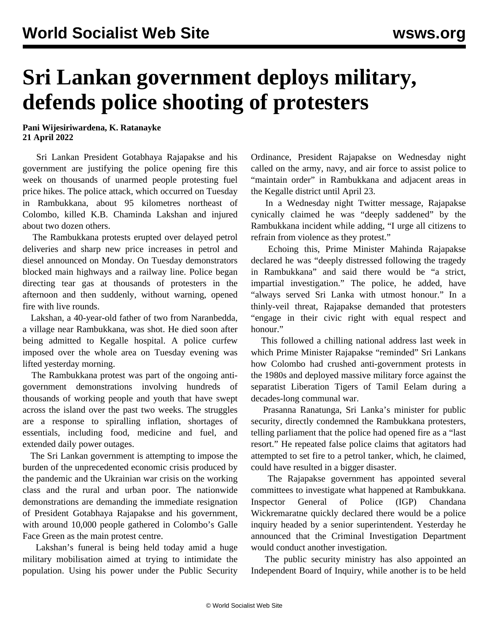## **Sri Lankan government deploys military, defends police shooting of protesters**

## **Pani Wijesiriwardena, K. Ratanayke 21 April 2022**

 Sri Lankan President Gotabhaya Rajapakse and his government are justifying the police opening fire this week on thousands of unarmed people protesting fuel price hikes. The police attack, which occurred on Tuesday in Rambukkana, about 95 kilometres northeast of Colombo, killed K.B. Chaminda Lakshan and injured about two dozen others.

 The Rambukkana protests erupted over delayed petrol deliveries and sharp new price increases in petrol and diesel announced on Monday. On Tuesday demonstrators blocked main highways and a railway line. Police began directing tear gas at thousands of protesters in the afternoon and then suddenly, without warning, opened fire with live rounds.

 Lakshan, a 40-year-old father of two from Naranbedda, a village near Rambukkana, was shot. He [died](/en/articles/2022/04/20/poli-a20.html) soon after being admitted to Kegalle hospital. A police curfew imposed over the whole area on Tuesday evening was lifted yesterday morning.

 The Rambukkana protest was part of the ongoing antigovernment demonstrations involving hundreds of thousands of working people and youth that have swept across the island over the past two weeks. The struggles are a response to spiralling inflation, shortages of essentials, including food, medicine and fuel, and extended daily power outages.

 The Sri Lankan government is attempting to impose the burden of the unprecedented economic crisis produced by the pandemic and the Ukrainian war crisis on the working class and the rural and urban poor. The nationwide demonstrations are demanding the immediate resignation of President Gotabhaya Rajapakse and his government, with around 10,000 people gathered in Colombo's Galle Face Green as the main protest centre.

 Lakshan's funeral is being held today amid a huge military mobilisation aimed at trying to intimidate the population. Using his power under the Public Security Ordinance, President Rajapakse on Wednesday night called on the army, navy, and air force to assist police to "maintain order" in Rambukkana and adjacent areas in the Kegalle district until April 23.

 In a Wednesday night Twitter message, Rajapakse cynically claimed he was "deeply saddened" by the Rambukkana incident while adding, "I urge all citizens to refrain from violence as they protest."

 Echoing this, Prime Minister Mahinda Rajapakse declared he was "deeply distressed following the tragedy in Rambukkana" and said there would be "a strict, impartial investigation." The police, he added, have "always served Sri Lanka with utmost honour." In a thinly-veil threat, Rajapakse demanded that protesters "engage in their civic right with equal respect and honour."

 This followed a chilling national address last week in which Prime Minister Rajapakse "reminded" Sri Lankans how Colombo had crushed anti-government protests in the 1980s and deployed massive military force against the separatist Liberation Tigers of Tamil Eelam during a decades-long communal war.

 Prasanna Ranatunga, Sri Lanka's minister for public security, directly condemned the Rambukkana protesters, telling parliament that the police had opened fire as a "last resort." He repeated false police claims that agitators had attempted to set fire to a petrol tanker, which, he claimed, could have resulted in a bigger disaster.

 The Rajapakse government has appointed several committees to investigate what happened at Rambukkana. Inspector General of Police (IGP) Chandana Wickremaratne quickly declared there would be a police inquiry headed by a senior superintendent. Yesterday he announced that the Criminal Investigation Department would conduct another investigation.

 The public security ministry has also appointed an Independent Board of Inquiry, while another is to be held